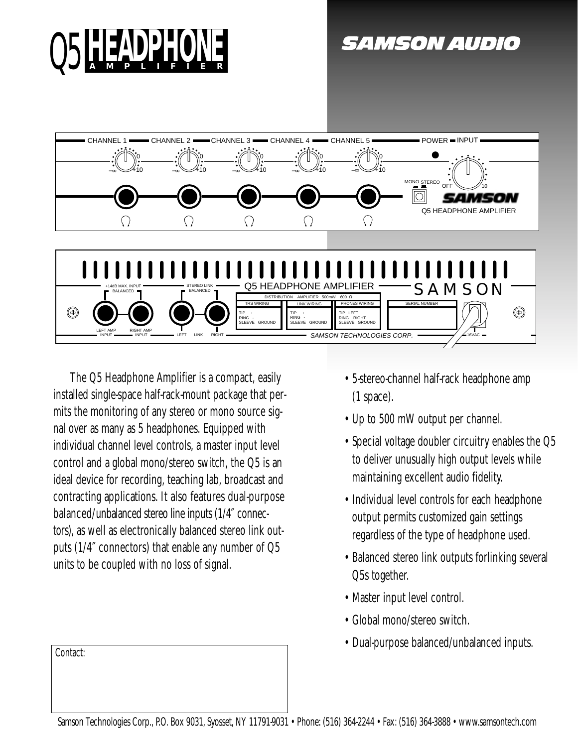

*SAMSON AUDIO* 



The Q5 Headphone Amplifier is a compact, easily installed single-space half-rack-mount package that permits the monitoring of any stereo or mono source signal over as many as 5 headphones. Equipped with individual channel level controls, a master input level control and a global mono/stereo switch, the Q5 is an ideal device for recording, teaching lab, broadcast and contracting applications. It also features dual-purpose balanced/unbalanced stereo line inputs (1/4″ connectors), as well as electronically balanced stereo link outputs (1/4″ connectors) that enable any number of Q5 units to be coupled with no loss of signal.

Contact:

- 5-stereo-channel half-rack headphone amp (1 space).
- Up to 500 mW output per channel.
- Special voltage doubler circuitry enables the Q5 to deliver unusually high output levels while maintaining excellent audio fidelity.
- Individual level controls for each headphone output permits customized gain settings regardless of the type of headphone used.
- Balanced stereo link outputs forlinking several Q5s together.
- Master input level control.
- Global mono/stereo switch.
- Dual-purpose balanced/unbalanced inputs.